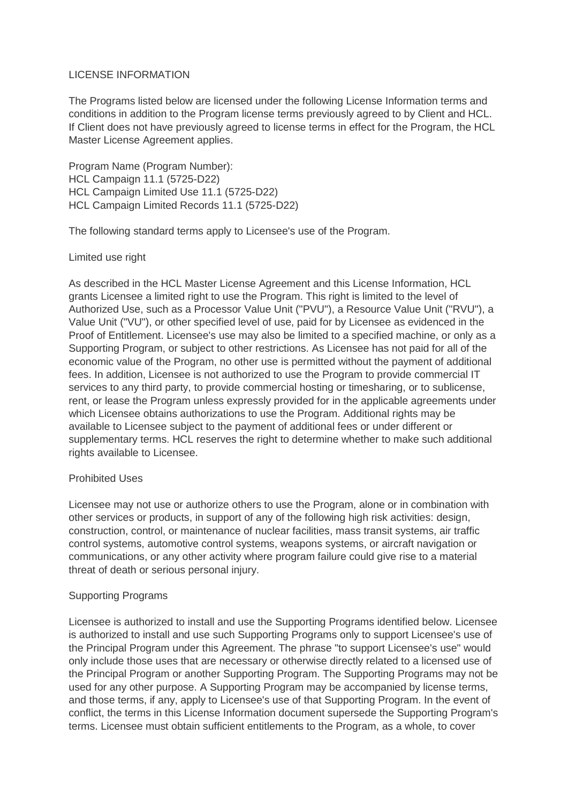### LICENSE INFORMATION

The Programs listed below are licensed under the following License Information terms and conditions in addition to the Program license terms previously agreed to by Client and HCL. If Client does not have previously agreed to license terms in effect for the Program, the HCL Master License Agreement applies.

Program Name (Program Number): HCL Campaign 11.1 (5725-D22) HCL Campaign Limited Use 11.1 (5725-D22) HCL Campaign Limited Records 11.1 (5725-D22)

The following standard terms apply to Licensee's use of the Program.

## Limited use right

As described in the HCL Master License Agreement and this License Information, HCL grants Licensee a limited right to use the Program. This right is limited to the level of Authorized Use, such as a Processor Value Unit ("PVU"), a Resource Value Unit ("RVU"), a Value Unit ("VU"), or other specified level of use, paid for by Licensee as evidenced in the Proof of Entitlement. Licensee's use may also be limited to a specified machine, or only as a Supporting Program, or subject to other restrictions. As Licensee has not paid for all of the economic value of the Program, no other use is permitted without the payment of additional fees. In addition, Licensee is not authorized to use the Program to provide commercial IT services to any third party, to provide commercial hosting or timesharing, or to sublicense, rent, or lease the Program unless expressly provided for in the applicable agreements under which Licensee obtains authorizations to use the Program. Additional rights may be available to Licensee subject to the payment of additional fees or under different or supplementary terms. HCL reserves the right to determine whether to make such additional rights available to Licensee.

# Prohibited Uses

Licensee may not use or authorize others to use the Program, alone or in combination with other services or products, in support of any of the following high risk activities: design, construction, control, or maintenance of nuclear facilities, mass transit systems, air traffic control systems, automotive control systems, weapons systems, or aircraft navigation or communications, or any other activity where program failure could give rise to a material threat of death or serious personal injury.

### Supporting Programs

Licensee is authorized to install and use the Supporting Programs identified below. Licensee is authorized to install and use such Supporting Programs only to support Licensee's use of the Principal Program under this Agreement. The phrase "to support Licensee's use" would only include those uses that are necessary or otherwise directly related to a licensed use of the Principal Program or another Supporting Program. The Supporting Programs may not be used for any other purpose. A Supporting Program may be accompanied by license terms, and those terms, if any, apply to Licensee's use of that Supporting Program. In the event of conflict, the terms in this License Information document supersede the Supporting Program's terms. Licensee must obtain sufficient entitlements to the Program, as a whole, to cover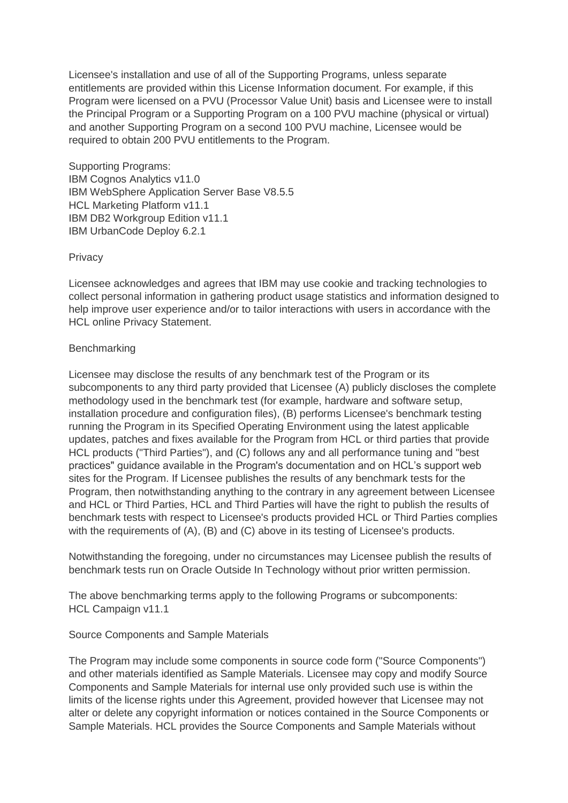Licensee's installation and use of all of the Supporting Programs, unless separate entitlements are provided within this License Information document. For example, if this Program were licensed on a PVU (Processor Value Unit) basis and Licensee were to install the Principal Program or a Supporting Program on a 100 PVU machine (physical or virtual) and another Supporting Program on a second 100 PVU machine, Licensee would be required to obtain 200 PVU entitlements to the Program.

Supporting Programs: IBM Cognos Analytics v11.0 IBM WebSphere Application Server Base V8.5.5 HCL Marketing Platform v11.1 IBM DB2 Workgroup Edition v11.1 IBM UrbanCode Deploy 6.2.1

## **Privacy**

Licensee acknowledges and agrees that IBM may use cookie and tracking technologies to collect personal information in gathering product usage statistics and information designed to help improve user experience and/or to tailor interactions with users in accordance with the HCL online Privacy Statement.

## **Benchmarking**

Licensee may disclose the results of any benchmark test of the Program or its subcomponents to any third party provided that Licensee (A) publicly discloses the complete methodology used in the benchmark test (for example, hardware and software setup, installation procedure and configuration files), (B) performs Licensee's benchmark testing running the Program in its Specified Operating Environment using the latest applicable updates, patches and fixes available for the Program from HCL or third parties that provide HCL products ("Third Parties"), and (C) follows any and all performance tuning and "best practices" guidance available in the Program's documentation and on HCL's support web sites for the Program. If Licensee publishes the results of any benchmark tests for the Program, then notwithstanding anything to the contrary in any agreement between Licensee and HCL or Third Parties, HCL and Third Parties will have the right to publish the results of benchmark tests with respect to Licensee's products provided HCL or Third Parties complies with the requirements of (A), (B) and (C) above in its testing of Licensee's products.

Notwithstanding the foregoing, under no circumstances may Licensee publish the results of benchmark tests run on Oracle Outside In Technology without prior written permission.

The above benchmarking terms apply to the following Programs or subcomponents: HCL Campaign v11.1

# Source Components and Sample Materials

The Program may include some components in source code form ("Source Components") and other materials identified as Sample Materials. Licensee may copy and modify Source Components and Sample Materials for internal use only provided such use is within the limits of the license rights under this Agreement, provided however that Licensee may not alter or delete any copyright information or notices contained in the Source Components or Sample Materials. HCL provides the Source Components and Sample Materials without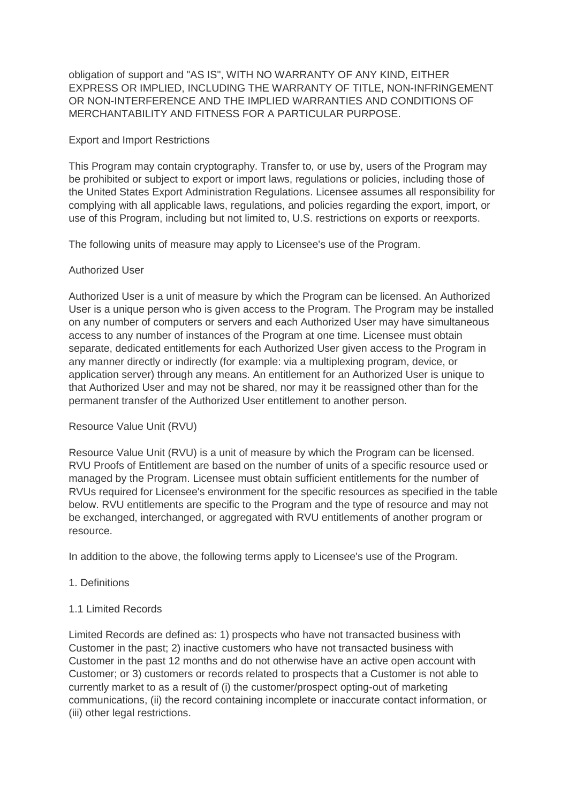obligation of support and "AS IS", WITH NO WARRANTY OF ANY KIND, EITHER EXPRESS OR IMPLIED, INCLUDING THE WARRANTY OF TITLE, NON-INFRINGEMENT OR NON-INTERFERENCE AND THE IMPLIED WARRANTIES AND CONDITIONS OF MERCHANTABILITY AND FITNESS FOR A PARTICULAR PURPOSE.

## Export and Import Restrictions

This Program may contain cryptography. Transfer to, or use by, users of the Program may be prohibited or subject to export or import laws, regulations or policies, including those of the United States Export Administration Regulations. Licensee assumes all responsibility for complying with all applicable laws, regulations, and policies regarding the export, import, or use of this Program, including but not limited to, U.S. restrictions on exports or reexports.

The following units of measure may apply to Licensee's use of the Program.

## Authorized User

Authorized User is a unit of measure by which the Program can be licensed. An Authorized User is a unique person who is given access to the Program. The Program may be installed on any number of computers or servers and each Authorized User may have simultaneous access to any number of instances of the Program at one time. Licensee must obtain separate, dedicated entitlements for each Authorized User given access to the Program in any manner directly or indirectly (for example: via a multiplexing program, device, or application server) through any means. An entitlement for an Authorized User is unique to that Authorized User and may not be shared, nor may it be reassigned other than for the permanent transfer of the Authorized User entitlement to another person.

### Resource Value Unit (RVU)

Resource Value Unit (RVU) is a unit of measure by which the Program can be licensed. RVU Proofs of Entitlement are based on the number of units of a specific resource used or managed by the Program. Licensee must obtain sufficient entitlements for the number of RVUs required for Licensee's environment for the specific resources as specified in the table below. RVU entitlements are specific to the Program and the type of resource and may not be exchanged, interchanged, or aggregated with RVU entitlements of another program or resource.

In addition to the above, the following terms apply to Licensee's use of the Program.

# 1. Definitions

### 1.1 Limited Records

Limited Records are defined as: 1) prospects who have not transacted business with Customer in the past; 2) inactive customers who have not transacted business with Customer in the past 12 months and do not otherwise have an active open account with Customer; or 3) customers or records related to prospects that a Customer is not able to currently market to as a result of (i) the customer/prospect opting-out of marketing communications, (ii) the record containing incomplete or inaccurate contact information, or (iii) other legal restrictions.